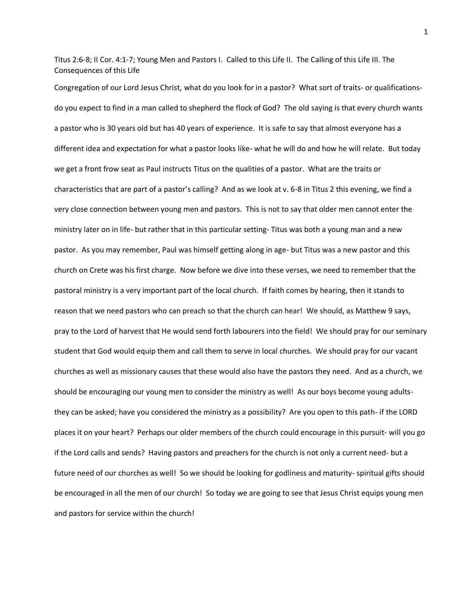Titus 2:6-8; II Cor. 4:1-7; Young Men and Pastors I. Called to this Life II. The Calling of this Life III. The Consequences of this Life

Congregation of our Lord Jesus Christ, what do you look for in a pastor? What sort of traits- or qualificationsdo you expect to find in a man called to shepherd the flock of God? The old saying is that every church wants a pastor who is 30 years old but has 40 years of experience. It is safe to say that almost everyone has a different idea and expectation for what a pastor looks like- what he will do and how he will relate. But today we get a front frow seat as Paul instructs Titus on the qualities of a pastor. What are the traits or characteristics that are part of a pastor's calling? And as we look at v. 6-8 in Titus 2 this evening, we find a very close connection between young men and pastors. This is not to say that older men cannot enter the ministry later on in life- but rather that in this particular setting- Titus was both a young man and a new pastor. As you may remember, Paul was himself getting along in age- but Titus was a new pastor and this church on Crete was his first charge. Now before we dive into these verses, we need to remember that the pastoral ministry is a very important part of the local church. If faith comes by hearing, then it stands to reason that we need pastors who can preach so that the church can hear! We should, as Matthew 9 says, pray to the Lord of harvest that He would send forth labourers into the field! We should pray for our seminary student that God would equip them and call them to serve in local churches. We should pray for our vacant churches as well as missionary causes that these would also have the pastors they need. And as a church, we should be encouraging our young men to consider the ministry as well! As our boys become young adultsthey can be asked; have you considered the ministry as a possibility? Are you open to this path- if the LORD places it on your heart? Perhaps our older members of the church could encourage in this pursuit- will you go if the Lord calls and sends? Having pastors and preachers for the church is not only a current need- but a future need of our churches as well! So we should be looking for godliness and maturity- spiritual gifts should be encouraged in all the men of our church! So today we are going to see that Jesus Christ equips young men and pastors for service within the church!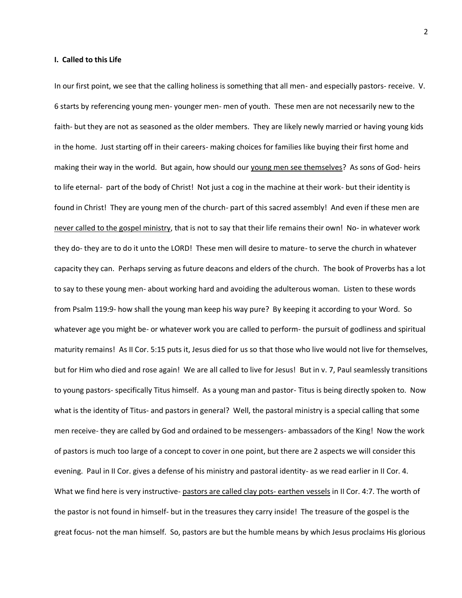## **I. Called to this Life**

In our first point, we see that the calling holiness is something that all men- and especially pastors- receive. V. 6 starts by referencing young men- younger men- men of youth. These men are not necessarily new to the faith- but they are not as seasoned as the older members. They are likely newly married or having young kids in the home. Just starting off in their careers- making choices for families like buying their first home and making their way in the world. But again, how should our young men see themselves? As sons of God- heirs to life eternal- part of the body of Christ! Not just a cog in the machine at their work- but their identity is found in Christ! They are young men of the church- part of this sacred assembly! And even if these men are never called to the gospel ministry, that is not to say that their life remains their own! No- in whatever work they do- they are to do it unto the LORD! These men will desire to mature- to serve the church in whatever capacity they can. Perhaps serving as future deacons and elders of the church. The book of Proverbs has a lot to say to these young men- about working hard and avoiding the adulterous woman. Listen to these words from Psalm 119:9- how shall the young man keep his way pure? By keeping it according to your Word. So whatever age you might be- or whatever work you are called to perform- the pursuit of godliness and spiritual maturity remains! As II Cor. 5:15 puts it, Jesus died for us so that those who live would not live for themselves, but for Him who died and rose again! We are all called to live for Jesus! But in v. 7, Paul seamlessly transitions to young pastors- specifically Titus himself. As a young man and pastor- Titus is being directly spoken to. Now what is the identity of Titus- and pastors in general? Well, the pastoral ministry is a special calling that some men receive- they are called by God and ordained to be messengers- ambassadors of the King! Now the work of pastors is much too large of a concept to cover in one point, but there are 2 aspects we will consider this evening. Paul in II Cor. gives a defense of his ministry and pastoral identity- as we read earlier in II Cor. 4. What we find here is very instructive- pastors are called clay pots- earthen vessels in II Cor. 4:7. The worth of the pastor is not found in himself- but in the treasures they carry inside! The treasure of the gospel is the great focus- not the man himself. So, pastors are but the humble means by which Jesus proclaims His glorious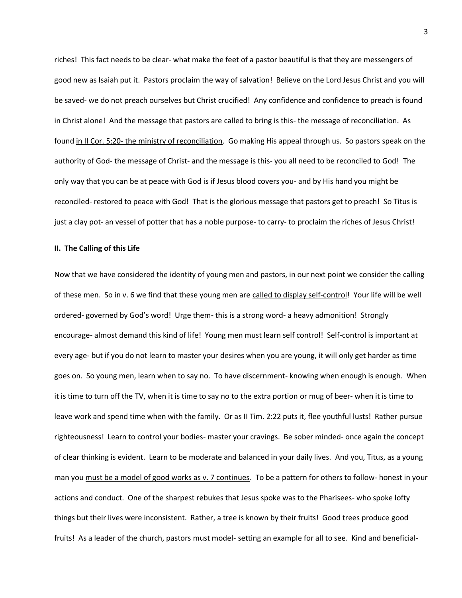riches! This fact needs to be clear- what make the feet of a pastor beautiful is that they are messengers of good new as Isaiah put it. Pastors proclaim the way of salvation! Believe on the Lord Jesus Christ and you will be saved- we do not preach ourselves but Christ crucified! Any confidence and confidence to preach is found in Christ alone! And the message that pastors are called to bring is this- the message of reconciliation. As found in II Cor. 5:20- the ministry of reconciliation. Go making His appeal through us. So pastors speak on the authority of God- the message of Christ- and the message is this- you all need to be reconciled to God! The only way that you can be at peace with God is if Jesus blood covers you- and by His hand you might be reconciled- restored to peace with God! That is the glorious message that pastors get to preach! So Titus is just a clay pot- an vessel of potter that has a noble purpose- to carry- to proclaim the riches of Jesus Christ!

## **II. The Calling of this Life**

Now that we have considered the identity of young men and pastors, in our next point we consider the calling of these men. So in v. 6 we find that these young men are called to display self-control! Your life will be well ordered- governed by God's word! Urge them- this is a strong word- a heavy admonition! Strongly encourage- almost demand this kind of life! Young men must learn self control! Self-control is important at every age- but if you do not learn to master your desires when you are young, it will only get harder as time goes on. So young men, learn when to say no. To have discernment- knowing when enough is enough. When it is time to turn off the TV, when it is time to say no to the extra portion or mug of beer- when it is time to leave work and spend time when with the family. Or as II Tim. 2:22 puts it, flee youthful lusts! Rather pursue righteousness! Learn to control your bodies- master your cravings. Be sober minded- once again the concept of clear thinking is evident. Learn to be moderate and balanced in your daily lives. And you, Titus, as a young man you must be a model of good works as v. 7 continues. To be a pattern for others to follow- honest in your actions and conduct. One of the sharpest rebukes that Jesus spoke was to the Pharisees- who spoke lofty things but their lives were inconsistent. Rather, a tree is known by their fruits! Good trees produce good fruits! As a leader of the church, pastors must model- setting an example for all to see. Kind and beneficial-

3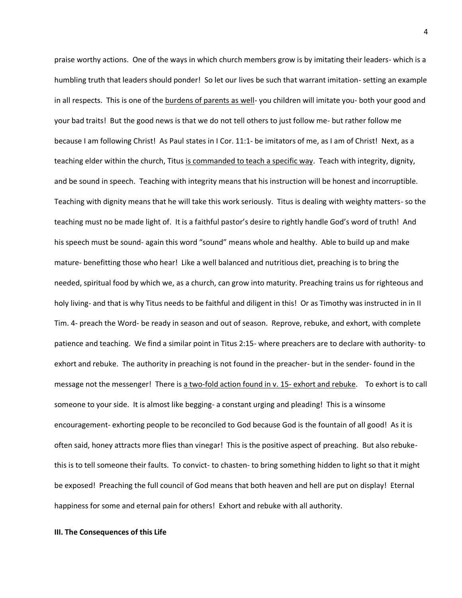praise worthy actions. One of the ways in which church members grow is by imitating their leaders- which is a humbling truth that leaders should ponder! So let our lives be such that warrant imitation- setting an example in all respects. This is one of the burdens of parents as well- you children will imitate you- both your good and your bad traits! But the good news is that we do not tell others to just follow me- but rather follow me because I am following Christ! As Paul states in I Cor. 11:1- be imitators of me, as I am of Christ! Next, as a teaching elder within the church, Titus is commanded to teach a specific way. Teach with integrity, dignity, and be sound in speech. Teaching with integrity means that his instruction will be honest and incorruptible. Teaching with dignity means that he will take this work seriously. Titus is dealing with weighty matters- so the teaching must no be made light of. It is a faithful pastor's desire to rightly handle God's word of truth! And his speech must be sound- again this word "sound" means whole and healthy. Able to build up and make mature- benefitting those who hear! Like a well balanced and nutritious diet, preaching is to bring the needed, spiritual food by which we, as a church, can grow into maturity. Preaching trains us for righteous and holy living- and that is why Titus needs to be faithful and diligent in this! Or as Timothy was instructed in in II Tim. 4- preach the Word- be ready in season and out of season. Reprove, rebuke, and exhort, with complete patience and teaching. We find a similar point in Titus 2:15- where preachers are to declare with authority- to exhort and rebuke. The authority in preaching is not found in the preacher- but in the sender- found in the message not the messenger! There is a two-fold action found in v. 15- exhort and rebuke. To exhort is to call someone to your side. It is almost like begging- a constant urging and pleading! This is a winsome encouragement- exhorting people to be reconciled to God because God is the fountain of all good! As it is often said, honey attracts more flies than vinegar! This is the positive aspect of preaching. But also rebukethis is to tell someone their faults. To convict- to chasten- to bring something hidden to light so that it might be exposed! Preaching the full council of God means that both heaven and hell are put on display! Eternal happiness for some and eternal pain for others! Exhort and rebuke with all authority.

## **III. The Consequences of this Life**